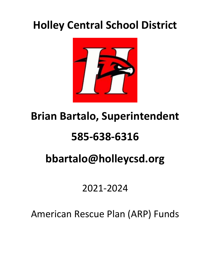### **Holley Central School District**



# **Brian Bartalo, Superintendent**

# **585-638-6316**

# **bbartalo@holleycsd.org**

### 2021-2024

American Rescue Plan (ARP) Funds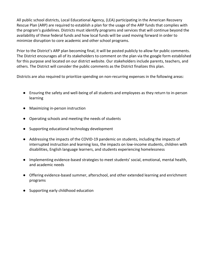All public school districts, Local Educational Agency, (LEA) participating in the American Recovery Rescue Plan (ARP) are required to establish a plan for the usage of the ARP funds that complies with the program's guidelines. Districts must identify programs and services that will continue beyond the availability of these federal funds and how local funds will be used moving forward in order to minimize disruption to core academic and other school programs.

Prior to the District's ARP plan becoming final, it will be posted publicly to allow for public comments. The District encourages all of its stakeholders to comment on the plan via the google form established for this purpose and located on our district website. Our stakeholders include parents, teachers, and others. The District will consider the public comments as the District finalizes this plan.

Districts are also required to prioritize spending on non-recurring expenses in the following areas:

- Ensuring the safety and well-being of all students and employees as they return to in-person learning
- Maximizing in-person instruction
- Operating schools and meeting the needs of students
- Supporting educational technology development
- Addressing the impacts of the COVID-19 pandemic on students, including the impacts of interrupted instruction and learning loss, the impacts on low-income students, children with disabilities, English language learners, and students experiencing homelessness
- Implementing evidence-based strategies to meet students' social, emotional, mental health, and academic needs
- Offering evidence-based summer, afterschool, and other extended learning and enrichment programs
- Supporting early childhood education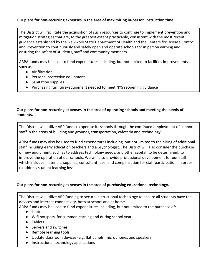#### **Our plans for non-recurring expenses in the area of maximizing in-person instruction time.**

The District will facilitate the acquisition of such resources to continue to implement prevention and mitigation strategies that are, to the greatest extent practicable, consistent with the most recent guidance established by the New York State Department of Health and the Centers for Disease Control and Prevention to continuously and safely open and operate schools for in person earning and ensuring the safety of students, staff and community members.

ARPA funds may be used to fund expenditures including, but not limited to facilities improvements such as:

- Air filtration
- Personal protective equipment
- Sanitation supplies
- Purchasing furniture/equipment needed to meet NYS reopening guidance

#### **Our plans for non-recurring expenses in the area of operating schools and meeting the needs of students.**

The District will utilize ARP funds to operate its schools through the continued employment of support staff in the areas of building and grounds, transportation, cafeteria and technology.

ARPA funds may also be used to fund expenditures including, but not limited to the hiring of additional staff including early education teachers and a psychologist. The District will also consider the purchase of new equipment, such as to address technology needs, and other capital, to be determined, to improve the operation of our schools. We will also provide professional development for our staff which includes materials, supplies, consultant fees, and compensation for staff participation, in order to address student learning loss.

#### **Our plans for non-recurring expenses in the area of purchasing educational technology.**

The District will utilize ARP funding to secure instructional technology to ensure all students have the devices and internet connectivity, both at school and at home. ARPA funds may be used to fund expenditures including, but not limited to the purchase of:

- - Laptops
	- Wifi hotspots, for summer learning and during school year
	- Tablets
	- Servers and switches
	- Remote learning tools
	- Update classroom devices (e.g. flat panels, microphones and speakers)
	- Instructional technology applications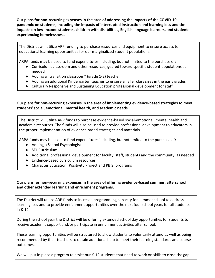**Our plans for non-recurring expenses in the area of addressing the impacts of the COVID-19 pandemic on students, including the impacts of interrupted instruction and learning loss and the impacts on low-income students, children with disabilities, English language learners, and students experiencing homelessness.** 

The District will utilize ARP funding to purchase resources and equipment to ensure access to educational learning opportunities for our marginalized student populations.

ARPA funds may be used to fund expenditures including, but not limited to the purchase of:

- Curriculum, classroom and other resources, geared toward specific student populations as needed
- Adding a "transition classroom" (grade 1-2) teacher
- Adding an additional Kindergarten teacher to ensure smaller class sizes in the early grades
- Culturally Responsive and Sustaining Education professional development for staff

#### **Our plans for non-recurring expenses in the area of implementing evidence-based strategies to meet students' social, emotional, mental health, and academic needs.**

The District will utilize ARP funds to purchase evidence-based social-emotional, mental health and academic resources. The funds will also be used to provide professional development to educators in the proper implementation of evidence based strategies and materials.

ARPA funds may be used to fund expenditures including, but not limited to the purchase of:

- Adding a School Psychologist
- SEL Curriculum
- Additional professional development for faculty, staff, students and the community, as needed
- Evidence-based curriculum resources
- Character Education (Positivity Project and PBIS) programs

#### **Our plans for non-recurring expenses in the area of offering evidence-based summer, afterschool, and other extended learning and enrichment programs.**

The District will utilize ARP funds to increase programming capacity for summer school to address learning loss and to provide enrichment opportunities over the next four school years for all students in K-12.

During the school year the District will be offering extended school day opportunities for students to receive academic support and/or participate in enrichment activities after school.

These learning opportunities will be structured to allow students to voluntarily attend as well as being recommended by their teachers to obtain additional help to meet their learning standards and course outcomes.

We will put in place a program to assist our K-12 students that need to work on skills to close the gap